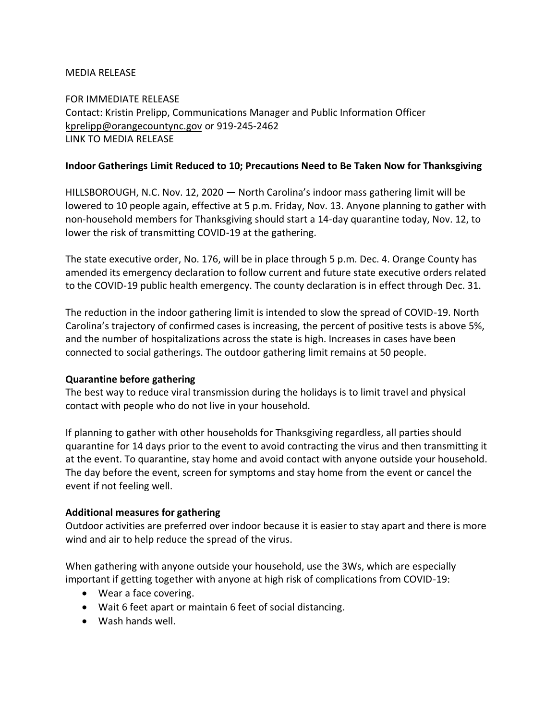## MEDIA RELEASE

FOR IMMEDIATE RELEASE Contact: Kristin Prelipp, Communications Manager and Public Information Officer [kprelipp@orangecountync.gov](mailto:kprelipp@orangecountync.gov) or 919-245-2462 [LINK TO MEDIA RELEASE](https://www.orangecountync.gov/DocumentCenter/View/13745/Indoor_Gatherings_Change_Guidance_for_Thanksgiving_nov_12_2020)

#### **Indoor Gatherings Limit Reduced to 10; Precautions Need to Be Taken Now for Thanksgiving**

HILLSBOROUGH, N.C. Nov. 12, 2020 ― North Carolina's indoor mass gathering limit will be lowered to 10 people again, effective at 5 p.m. Friday, Nov. 13. Anyone planning to gather with non-household members for Thanksgiving should start a 14-day quarantine today, Nov. 12, to lower the risk of transmitting COVID-19 at the gathering.

The state executive order, No. 176, will be in place through 5 p.m. Dec. 4. Orange County has amended its emergency declaration to follow current and future state executive orders related to the COVID-19 public health emergency. The county declaration is in effect through Dec. 31.

The reduction in the indoor gathering limit is intended to slow the spread of COVID-19. North Carolina's trajectory of confirmed cases is increasing, the percent of positive tests is above 5%, and the number of hospitalizations across the state is high. Increases in cases have been connected to social gatherings. The outdoor gathering limit remains at 50 people.

## **Quarantine before gathering**

The best way to reduce viral transmission during the holidays is to limit travel and physical contact with people who do not live in your household.

If planning to gather with other households for Thanksgiving regardless, all parties should quarantine for 14 days prior to the event to avoid contracting the virus and then transmitting it at the event. To quarantine, stay home and avoid contact with anyone outside your household. The day before the event, screen for symptoms and stay home from the event or cancel the event if not feeling well.

## **Additional measures for gathering**

Outdoor activities are preferred over indoor because it is easier to stay apart and there is more wind and air to help reduce the spread of the virus.

When gathering with anyone outside your household, use the 3Ws, which are especially important if getting together with anyone at high risk of complications from COVID-19:

- Wear a face covering.
- Wait 6 feet apart or maintain 6 feet of social distancing.
- Wash hands well.